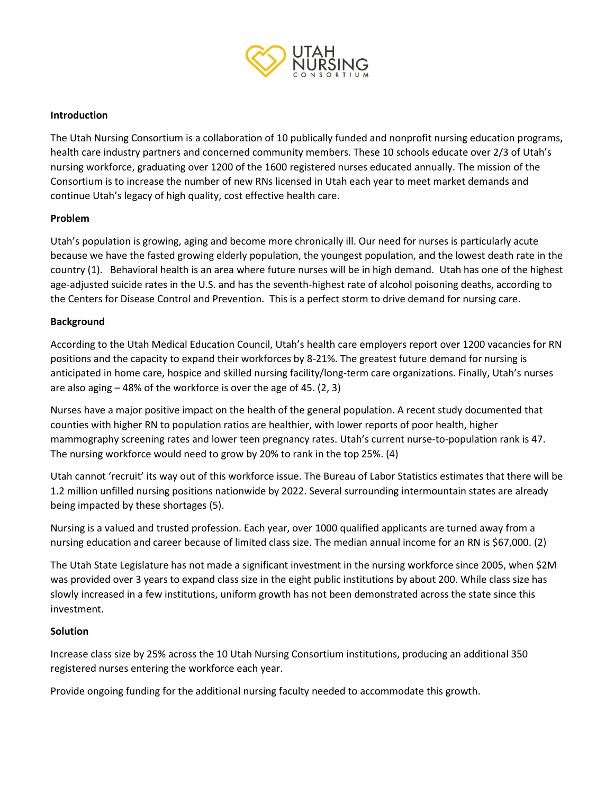

## **Introduction**

The Utah Nursing Consortium is a collaboration of 10 publically funded and nonprofit nursing education programs, health care industry partners and concerned community members. These 10 schools educate over 2/3 of Utah's nursing workforce, graduating over 1200 of the 1600 registered nurses educated annually. The mission of the Consortium is to increase the number of new RNs licensed in Utah each year to meet market demands and continue Utah's legacy of high quality, cost effective health care.

## **Problem**

Utah's population is growing, aging and become more chronically ill. Our need for nurses is particularly acute because we have the fasted growing elderly population, the youngest population, and the lowest death rate in the country (1). Behavioral health is an area where future nurses will be in high demand. Utah has one of the highest age-adjusted suicide rates in the U.S. and has the seventh-highest rate of alcohol poisoning deaths, according to the Centers for Disease Control and Prevention. This is a perfect storm to drive demand for nursing care.

## **Background**

According to the Utah Medical Education Council, Utah's health care employers report over 1200 vacancies for RN positions and the capacity to expand their workforces by 8-21%. The greatest future demand for nursing is anticipated in home care, hospice and skilled nursing facility/long-term care organizations. Finally, Utah's nurses are also aging – 48% of the workforce is over the age of 45. (2, 3)

Nurses have a major positive impact on the health of the general population. A recent study documented that counties with higher RN to population ratios are healthier, with lower reports of poor health, higher mammography screening rates and lower teen pregnancy rates. Utah's current nurse-to-population rank is 47. The nursing workforce would need to grow by 20% to rank in the top 25%. (4)

Utah cannot 'recruit' its way out of this workforce issue. The Bureau of Labor Statistics estimates that there will be 1.2 million unfilled nursing positions nationwide by 2022. Several surrounding intermountain states are already being impacted by these shortages (5).

Nursing is a valued and trusted profession. Each year, over 1000 qualified applicants are turned away from a nursing education and career because of limited class size. The median annual income for an RN is \$67,000. (2)

The Utah State Legislature has not made a significant investment in the nursing workforce since 2005, when \$2M was provided over 3 years to expand class size in the eight public institutions by about 200. While class size has slowly increased in a few institutions, uniform growth has not been demonstrated across the state since this investment.

#### **Solution**

Increase class size by 25% across the 10 Utah Nursing Consortium institutions, producing an additional 350 registered nurses entering the workforce each year.

Provide ongoing funding for the additional nursing faculty needed to accommodate this growth.